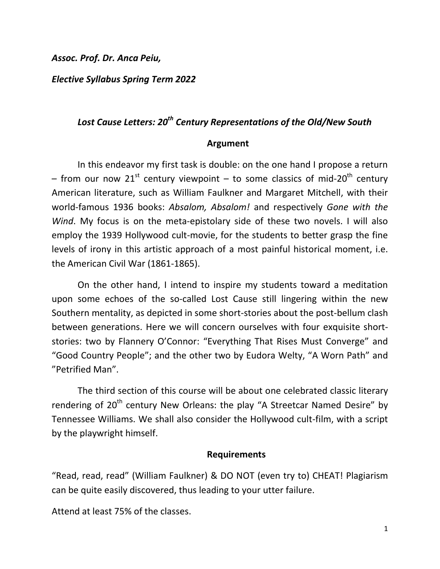*Assoc. Prof. Dr. Anca Peiu,*

*Elective Syllabus Spring Term 2022*

# *Lost Cause Letters: 20th Century Representations of the Old/New South*

#### **Argument**

In this endeavor my first task is double: on the one hand I propose a return – from our now 21<sup>st</sup> century viewpoint – to some classics of mid-20<sup>th</sup> century American literature, such as William Faulkner and Margaret Mitchell, with their world-famous 1936 books: *Absalom, Absalom!* and respectively *Gone with the Wind*. My focus is on the meta-epistolary side of these two novels. I will also employ the 1939 Hollywood cult-movie, for the students to better grasp the fine levels of irony in this artistic approach of a most painful historical moment, i.e. the American Civil War (1861-1865).

On the other hand, I intend to inspire my students toward a meditation upon some echoes of the so-called Lost Cause still lingering within the new Southern mentality, as depicted in some short-stories about the post-bellum clash between generations. Here we will concern ourselves with four exquisite shortstories: two by Flannery O'Connor: "Everything That Rises Must Converge" and "Good Country People"; and the other two by Eudora Welty, "A Worn Path" and "Petrified Man".

The third section of this course will be about one celebrated classic literary rendering of 20<sup>th</sup> century New Orleans: the play "A Streetcar Named Desire" by Tennessee Williams. We shall also consider the Hollywood cult-film, with a script by the playwright himself.

### **Requirements**

"Read, read, read" (William Faulkner) & DO NOT (even try to) CHEAT! Plagiarism can be quite easily discovered, thus leading to your utter failure.

Attend at least 75% of the classes.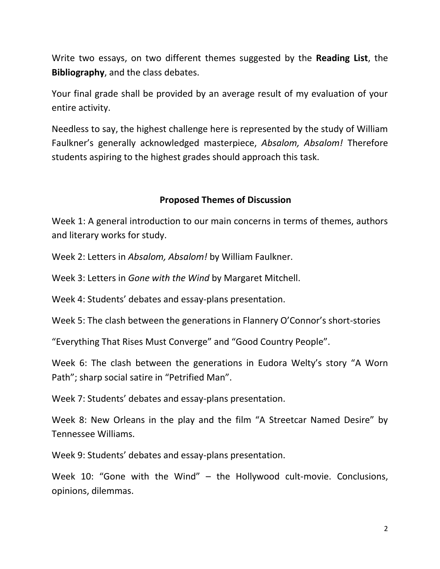Write two essays, on two different themes suggested by the **Reading List**, the **Bibliography**, and the class debates.

Your final grade shall be provided by an average result of my evaluation of your entire activity.

Needless to say, the highest challenge here is represented by the study of William Faulkner's generally acknowledged masterpiece, *Absalom, Absalom!* Therefore students aspiring to the highest grades should approach this task.

## **Proposed Themes of Discussion**

Week 1: A general introduction to our main concerns in terms of themes, authors and literary works for study.

Week 2: Letters in *Absalom, Absalom!* by William Faulkner.

Week 3: Letters in *Gone with the Wind* by Margaret Mitchell.

Week 4: Students' debates and essay-plans presentation.

Week 5: The clash between the generations in Flannery O'Connor's short-stories

"Everything That Rises Must Converge" and "Good Country People".

Week 6: The clash between the generations in Eudora Welty's story "A Worn Path"; sharp social satire in "Petrified Man".

Week 7: Students' debates and essay-plans presentation.

Week 8: New Orleans in the play and the film "A Streetcar Named Desire" by Tennessee Williams.

Week 9: Students' debates and essay-plans presentation.

Week 10: "Gone with the Wind" – the Hollywood cult-movie. Conclusions, opinions, dilemmas.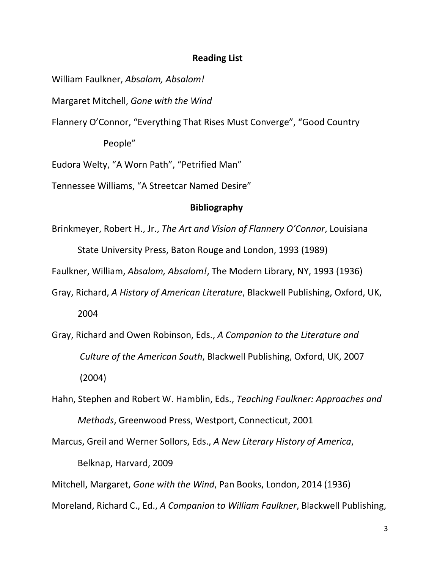### **Reading List**

William Faulkner, *Ab*s*alom, Absalom!*

Margaret Mitchell, *Gone with the Wind*

Flannery O'Connor, "Everything That Rises Must Converge", "Good Country

People"

Eudora Welty, "A Worn Path", "Petrified Man"

Tennessee Williams, "A Streetcar Named Desire"

### **Bibliography**

Brinkmeyer, Robert H., Jr., *The Art and Vision of Flannery O'Connor*, Louisiana

State University Press, Baton Rouge and London, 1993 (1989)

Faulkner, William, *Absalom, Absalom!*, The Modern Library, NY, 1993 (1936)

- Gray, Richard, *A History of American Literature*, Blackwell Publishing, Oxford, UK, 2004
- Gray, Richard and Owen Robinson, Eds., *A Companion to the Literature and Culture of the American South*, Blackwell Publishing, Oxford, UK, 2007 (2004)
- Hahn, Stephen and Robert W. Hamblin, Eds., *Teaching Faulkner: Approaches and Methods*, Greenwood Press, Westport, Connecticut, 2001

Marcus, Greil and Werner Sollors, Eds., *A New Literary History of America*, Belknap, Harvard, 2009

Mitchell, Margaret, *Gone with the Wind*, Pan Books, London, 2014 (1936)

Moreland, Richard C., Ed., *A Companion to William Faulkner*, Blackwell Publishing,